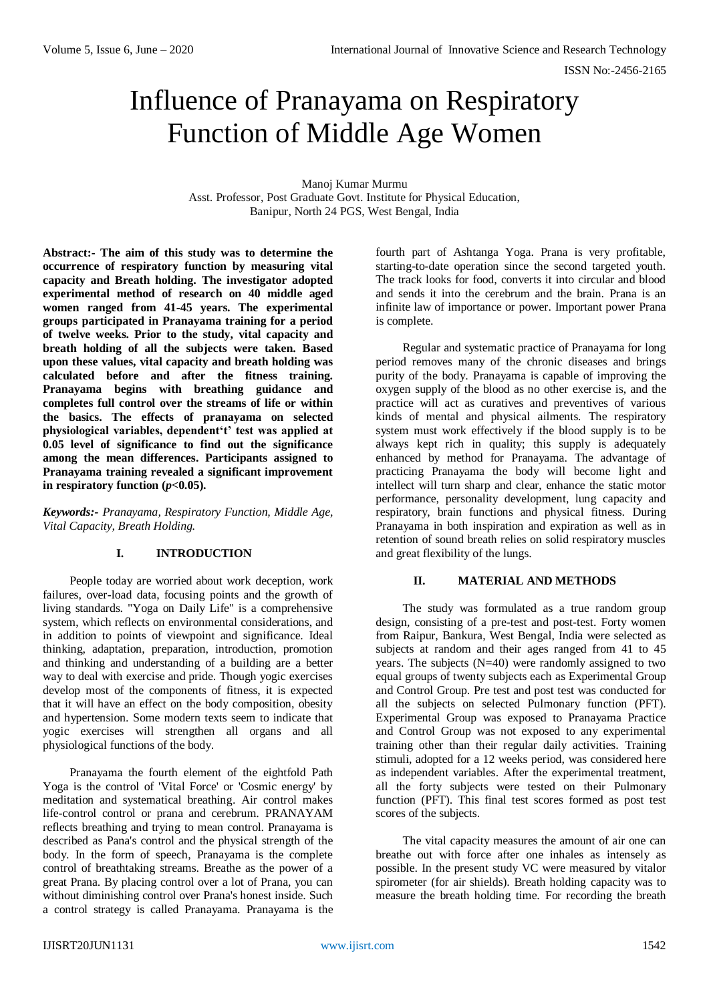ISSN No:-2456-2165

# Influence of Pranayama on Respiratory Function of Middle Age Women

Manoj Kumar Murmu Asst. Professor, Post Graduate Govt. Institute for Physical Education, Banipur, North 24 PGS, West Bengal, India

**Abstract:- The aim of this study was to determine the occurrence of respiratory function by measuring vital capacity and Breath holding. The investigator adopted experimental method of research on 40 middle aged women ranged from 41-45 years. The experimental groups participated in Pranayama training for a period of twelve weeks. Prior to the study, vital capacity and breath holding of all the subjects were taken. Based upon these values, vital capacity and breath holding was calculated before and after the fitness training. Pranayama begins with breathing guidance and completes full control over the streams of life or within the basics. The effects of pranayama on selected physiological variables, dependent't' test was applied at 0.05 level of significance to find out the significance among the mean differences. Participants assigned to Pranayama training revealed a significant improvement** in respiratory function  $(p<0.05)$ .

*Keywords:- Pranayama, Respiratory Function, Middle Age, Vital Capacity, Breath Holding.*

## **I. INTRODUCTION**

People today are worried about work deception, work failures, over-load data, focusing points and the growth of living standards. "Yoga on Daily Life" is a comprehensive system, which reflects on environmental considerations, and in addition to points of viewpoint and significance. Ideal thinking, adaptation, preparation, introduction, promotion and thinking and understanding of a building are a better way to deal with exercise and pride. Though yogic exercises develop most of the components of fitness, it is expected that it will have an effect on the body composition, obesity and hypertension. Some modern texts seem to indicate that yogic exercises will strengthen all organs and all physiological functions of the body.

Pranayama the fourth element of the eightfold Path Yoga is the control of 'Vital Force' or 'Cosmic energy' by meditation and systematical breathing. Air control makes life-control control or prana and cerebrum. PRANAYAM reflects breathing and trying to mean control. Pranayama is described as Pana's control and the physical strength of the body. In the form of speech, Pranayama is the complete control of breathtaking streams. Breathe as the power of a great Prana. By placing control over a lot of Prana, you can without diminishing control over Prana's honest inside. Such a control strategy is called Pranayama. Pranayama is the fourth part of Ashtanga Yoga. Prana is very profitable, starting-to-date operation since the second targeted youth. The track looks for food, converts it into circular and blood and sends it into the cerebrum and the brain. Prana is an infinite law of importance or power. Important power Prana is complete.

Regular and systematic practice of Pranayama for long period removes many of the chronic diseases and brings purity of the body. Pranayama is capable of improving the oxygen supply of the blood as no other exercise is, and the practice will act as curatives and preventives of various kinds of mental and physical ailments. The respiratory system must work effectively if the blood supply is to be always kept rich in quality; this supply is adequately enhanced by method for Pranayama. The advantage of practicing Pranayama the body will become light and intellect will turn sharp and clear, enhance the static motor performance, personality development, lung capacity and respiratory, brain functions and physical fitness. During Pranayama in both inspiration and expiration as well as in retention of sound breath relies on solid respiratory muscles and great flexibility of the lungs.

## **II. MATERIAL AND METHODS**

The study was formulated as a true random group design, consisting of a pre-test and post-test. Forty women from Raipur, Bankura, West Bengal, India were selected as subjects at random and their ages ranged from 41 to 45 years. The subjects (N=40) were randomly assigned to two equal groups of twenty subjects each as Experimental Group and Control Group. Pre test and post test was conducted for all the subjects on selected Pulmonary function (PFT). Experimental Group was exposed to Pranayama Practice and Control Group was not exposed to any experimental training other than their regular daily activities. Training stimuli, adopted for a 12 weeks period, was considered here as independent variables. After the experimental treatment, all the forty subjects were tested on their Pulmonary function (PFT). This final test scores formed as post test scores of the subjects.

The vital capacity measures the amount of air one can breathe out with force after one inhales as intensely as possible. In the present study VC were measured by vitalor spirometer (for air shields). Breath holding capacity was to measure the breath holding time. For recording the breath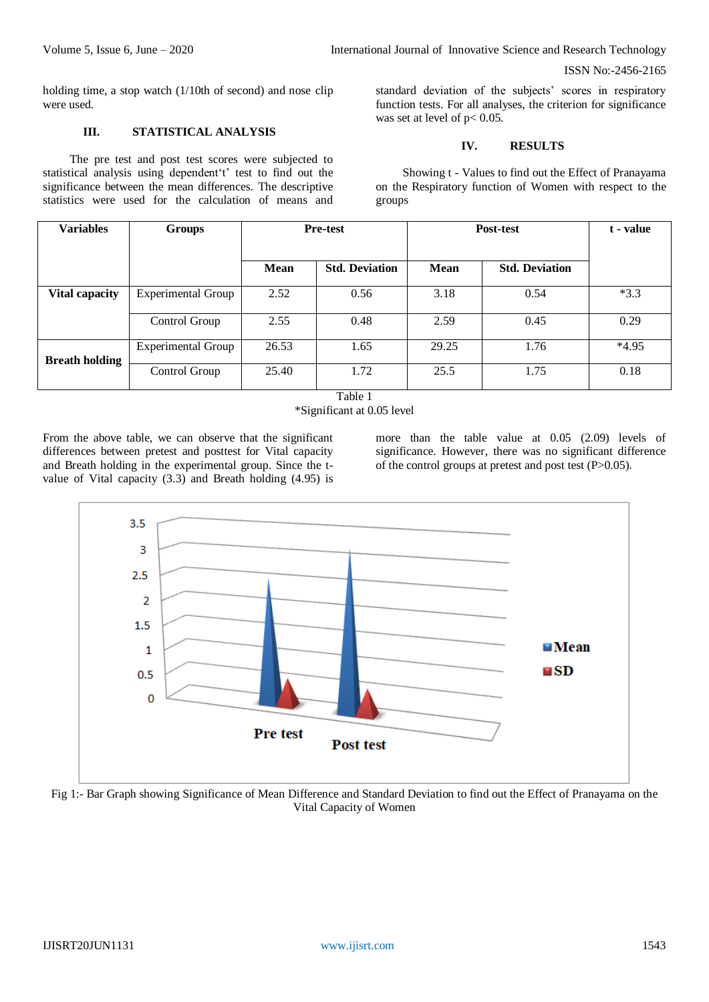holding time, a stop watch (1/10th of second) and nose clip were used.

# **III. STATISTICAL ANALYSIS**

The pre test and post test scores were subjected to statistical analysis using dependent't' test to find out the significance between the mean differences. The descriptive statistics were used for the calculation of means and

standard deviation of the subjects' scores in respiratory function tests. For all analyses, the criterion for significance was set at level of  $p< 0.05$ .

# **IV. RESULTS**

Showing t - Values to find out the Effect of Pranayama on the Respiratory function of Women with respect to the groups

| <b>Variables</b>      | Groups                    | <b>Pre-test</b> |                       | Post-test   |                       | t - value |
|-----------------------|---------------------------|-----------------|-----------------------|-------------|-----------------------|-----------|
|                       |                           | <b>Mean</b>     | <b>Std. Deviation</b> | <b>Mean</b> | <b>Std. Deviation</b> |           |
| Vital capacity        | <b>Experimental Group</b> | 2.52            | 0.56                  | 3.18        | 0.54                  | $*3.3$    |
|                       | Control Group             | 2.55            | 0.48                  | 2.59        | 0.45                  | 0.29      |
| <b>Breath holding</b> | <b>Experimental Group</b> | 26.53           | 1.65                  | 29.25       | 1.76                  | $*4.95$   |
|                       | Control Group             | 25.40           | 1.72                  | 25.5        | 1.75                  | 0.18      |

Table 1 \*Significant at 0.05 level

From the above table, we can observe that the significant differences between pretest and posttest for Vital capacity and Breath holding in the experimental group. Since the tvalue of Vital capacity (3.3) and Breath holding (4.95) is

more than the table value at 0.05 (2.09) levels of significance. However, there was no significant difference of the control groups at pretest and post test (P>0.05).



Fig 1:- Bar Graph showing Significance of Mean Difference and Standard Deviation to find out the Effect of Pranayama on the Vital Capacity of Women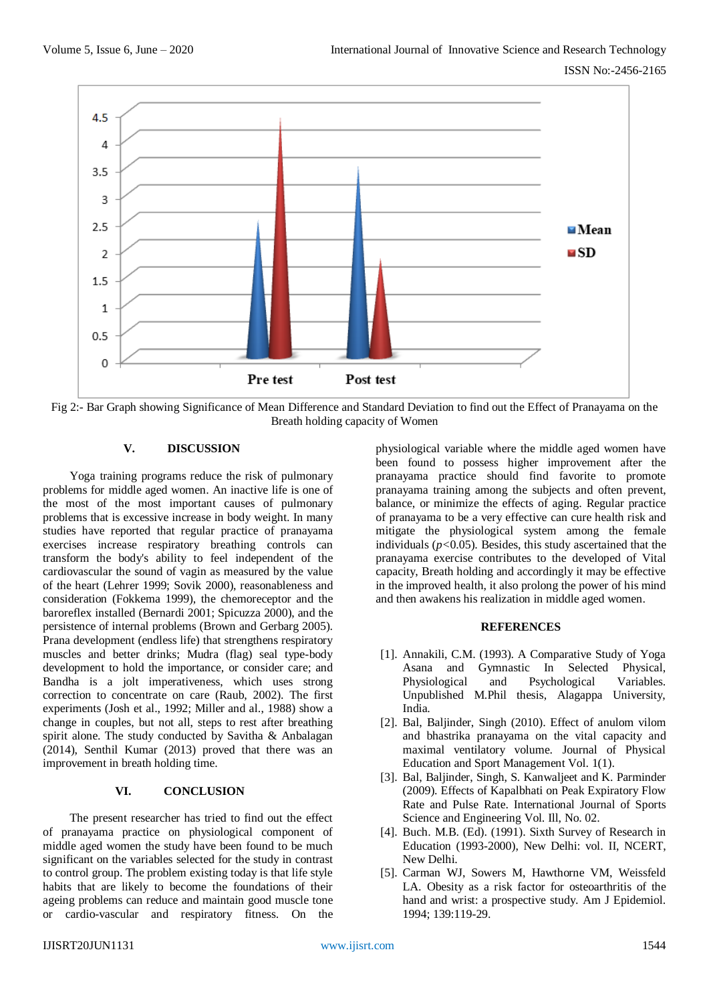

Fig 2:- Bar Graph showing Significance of Mean Difference and Standard Deviation to find out the Effect of Pranayama on the Breath holding capacity of Women

## **V. DISCUSSION**

Yoga training programs reduce the risk of pulmonary problems for middle aged women. An inactive life is one of the most of the most important causes of pulmonary problems that is excessive increase in body weight. In many studies have reported that regular practice of pranayama exercises increase respiratory breathing controls can transform the body's ability to feel independent of the cardiovascular the sound of vagin as measured by the value of the heart (Lehrer 1999; Sovik 2000), reasonableness and consideration (Fokkema 1999), the chemoreceptor and the baroreflex installed (Bernardi 2001; Spicuzza 2000), and the persistence of internal problems (Brown and Gerbarg 2005). Prana development (endless life) that strengthens respiratory muscles and better drinks; Mudra (flag) seal type-body development to hold the importance, or consider care; and Bandha is a jolt imperativeness, which uses strong correction to concentrate on care (Raub, 2002). The first experiments (Josh et al., 1992; Miller and al., 1988) show a change in couples, but not all, steps to rest after breathing spirit alone. The study conducted by Savitha & Anbalagan (2014), Senthil Kumar (2013) proved that there was an improvement in breath holding time.

#### **VI. CONCLUSION**

The present researcher has tried to find out the effect of pranayama practice on physiological component of middle aged women the study have been found to be much significant on the variables selected for the study in contrast to control group. The problem existing today is that life style habits that are likely to become the foundations of their ageing problems can reduce and maintain good muscle tone or cardio-vascular and respiratory fitness. On the

physiological variable where the middle aged women have been found to possess higher improvement after the pranayama practice should find favorite to promote pranayama training among the subjects and often prevent, balance, or minimize the effects of aging. Regular practice of pranayama to be a very effective can cure health risk and mitigate the physiological system among the female individuals (*p<*0.05). Besides, this study ascertained that the pranayama exercise contributes to the developed of Vital capacity, Breath holding and accordingly it may be effective in the improved health, it also prolong the power of his mind and then awakens his realization in middle aged women.

#### **REFERENCES**

- [1]. Annakili, C.M. (1993). A Comparative Study of Yoga Asana and Gymnastic In Selected Physical, Physiological and Psychological Variables. Unpublished M.Phil thesis, Alagappa University, India.
- [2]. Bal, Baljinder, Singh (2010). Effect of anulom vilom and bhastrika pranayama on the vital capacity and maximal ventilatory volume. Journal of Physical Education and Sport Management Vol. 1(1).
- [3]. Bal, Baljinder, Singh, S. Kanwaljeet and K. Parminder (2009). Effects of Kapalbhati on Peak Expiratory Flow Rate and Pulse Rate. International Journal of Sports Science and Engineering Vol. Ill, No. 02.
- [4]. Buch. M.B. (Ed). (1991). Sixth Survey of Research in Education (1993-2000), New Delhi: vol. II, NCERT, New Delhi.
- [5]. Carman WJ, Sowers M, Hawthorne VM, Weissfeld LA. Obesity as a risk factor for osteoarthritis of the hand and wrist: a prospective study. Am J Epidemiol. 1994; 139:119-29.